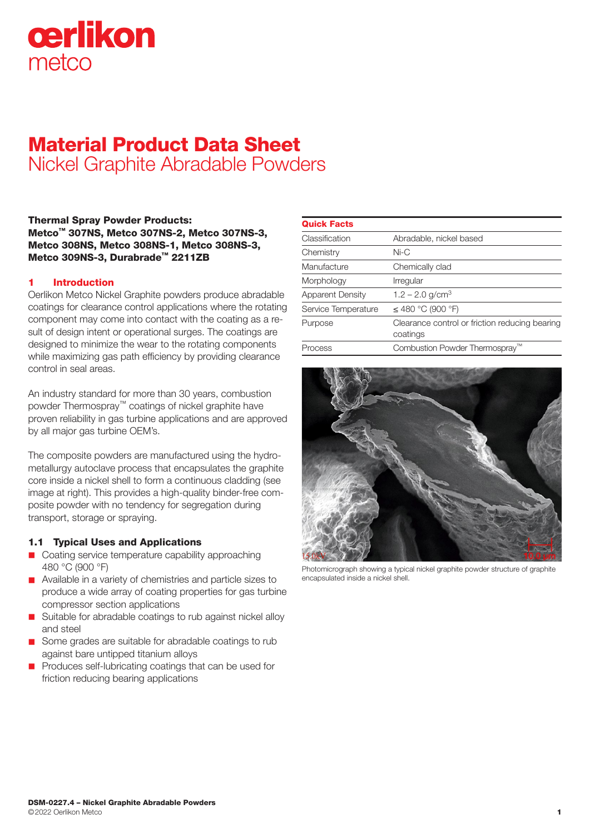

# Material Product Data Sheet Nickel Graphite Abradable Powders

Thermal Spray Powder Products: Metco™ 307NS, Metco 307NS-2, Metco 307NS-3, Metco 308NS, Metco 308NS-1, Metco 308NS-3, Metco 309NS-3, Durabrade™ 2211ZB

## 1 Introduction

Oerlikon Metco Nickel Graphite powders produce abradable coatings for clearance control applications where the rotating component may come into contact with the coating as a result of design intent or operational surges. The coatings are designed to minimize the wear to the rotating components while maximizing gas path efficiency by providing clearance control in seal areas.

An industry standard for more than 30 years, combustion powder Thermospray™ coatings of nickel graphite have proven reliability in gas turbine applications and are approved by all major gas turbine OEM's.

The composite powders are manufactured using the hydrometallurgy autoclave process that encapsulates the graphite core inside a nickel shell to form a continuous cladding (see image at right). This provides a high-quality binder-free composite powder with no tendency for segregation during transport, storage or spraying.

### 1.1 Typical Uses and Applications

- Coating service temperature capability approaching 480 °C (900 °F)
- Available in a variety of chemistries and particle sizes to produce a wide array of coating properties for gas turbine compressor section applications
- Suitable for abradable coatings to rub against nickel alloy and steel
- Some grades are suitable for abradable coatings to rub against bare untipped titanium alloys
- Produces self-lubricating coatings that can be used for friction reducing bearing applications

| <b>Quick Facts</b>      |                                                            |
|-------------------------|------------------------------------------------------------|
| Classification          | Abradable, nickel based                                    |
| Chemistry               | $Ni-C$                                                     |
| Manufacture             | Chemically clad                                            |
| Morphology              | Irregular                                                  |
| <b>Apparent Density</b> | $1.2 - 2.0$ g/cm <sup>3</sup>                              |
| Service Temperature     | $\leq$ 480 °C (900 °F)                                     |
| Purpose                 | Clearance control or friction reducing bearing<br>coatings |
| Process                 | Combustion Powder Thermospray"                             |



Photomicrograph showing a typical nickel graphite powder structure of graphite encapsulated inside a nickel shell.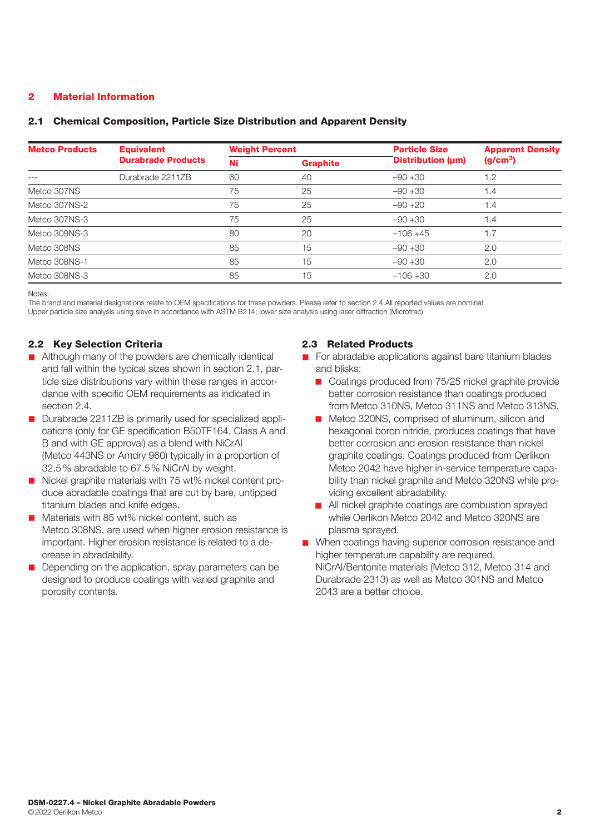# 2 Material Information

## 2.1 Chemical Composition, Particle Size Distribution and Apparent Density

| <b>Metco Products</b> | <b>Equivalent</b>         | <b>Weight Percent</b> |    | <b>Particle Size</b> | <b>Apparent Density</b><br>(g/cm <sup>3</sup> ) |
|-----------------------|---------------------------|-----------------------|----|----------------------|-------------------------------------------------|
|                       | <b>Durabrade Products</b> | Ni<br><b>Graphite</b> |    | Distribution (µm)    |                                                 |
|                       | Durabrade 2211ZB          | 60                    | 40 | $-90+30$             | 1.2                                             |
| Metco 307NS           |                           | 75                    | 25 | $-90+30$             | 1.4                                             |
| Metco 307NS-2         |                           | 75                    | 25 | $-90 + 20$           | 1.4                                             |
| Metco 307NS-3         |                           | 75                    | 25 | $-90+30$             | 1.4                                             |
| Metco 309NS-3         |                           | 80                    | 20 | $-106 + 45$          | 1.7                                             |
| Metco 308NS           |                           | 85                    | 15 | $-90+30$             | 2.0                                             |
| Metco 308NS-1         |                           | 85                    | 15 | $-90+30$             | 2.0                                             |
| Metco 308NS-3         |                           | 85                    | 15 | $-106 + 30$          | 2.0                                             |

Notes:

The brand and material designations relate to OEM specifications for these powders. Please refer to section 2.4.All reported values are nominal Upper particle size analysis using sieve in accordance with ASTM B214; lower size analysis using laser diffraction (Microtrac)

# 2.2 Key Selection Criteria

- Although many of the powders are chemically identical and fall within the typical sizes shown in section 2.1, particle size distributions vary within these ranges in accordance with specific OEM requirements as indicated in section 2.4.
- Durabrade 2211ZB is primarily used for specialized applications (only for GE specification B50TF164, Class A and B and with GE approval) as a blend with NiCrAl (Metco 443NS or Amdry 960) typically in a proportion of 32.5% abradable to 67.5% NiCrAl by weight.
- Nickel graphite materials with 75 wt% nickel content produce abradable coatings that are cut by bare, untipped titanium blades and knife edges.
- $\blacksquare$  Materials with 85 wt% nickel content, such as Metco 308NS, are used when higher erosion resistance is important. Higher erosion resistance is related to a decrease in abradability.
- Depending on the application, spray parameters can be designed to produce coatings with varied graphite and porosity contents.

# 2.3 Related Products

- For abradable applications against bare titanium blades and blisks:
	- Coatings produced from 75/25 nickel graphite provide better corrosion resistance than coatings produced from Metco 310NS, Metco 311NS and Metco 313NS.
	- Metco 320NS, comprised of aluminum, silicon and hexagonal boron nitride, produces coatings that have better corrosion and erosion resistance than nickel graphite coatings. Coatings produced from Oerlikon Metco 2042 have higher in-service temperature capability than nickel graphite and Metco 320NS while providing excellent abradability.
	- **n** All nickel graphite coatings are combustion sprayed while Oerlikon Metco 2042 and Metco 320NS are plasma sprayed.
- When coatings having superior corrosion resistance and higher temperature capability are required, NiCrAl/Bentonite materials (Metco 312, Metco 314 and Durabrade 2313) as well as Metco 301NS and Metco 2043 are a better choice.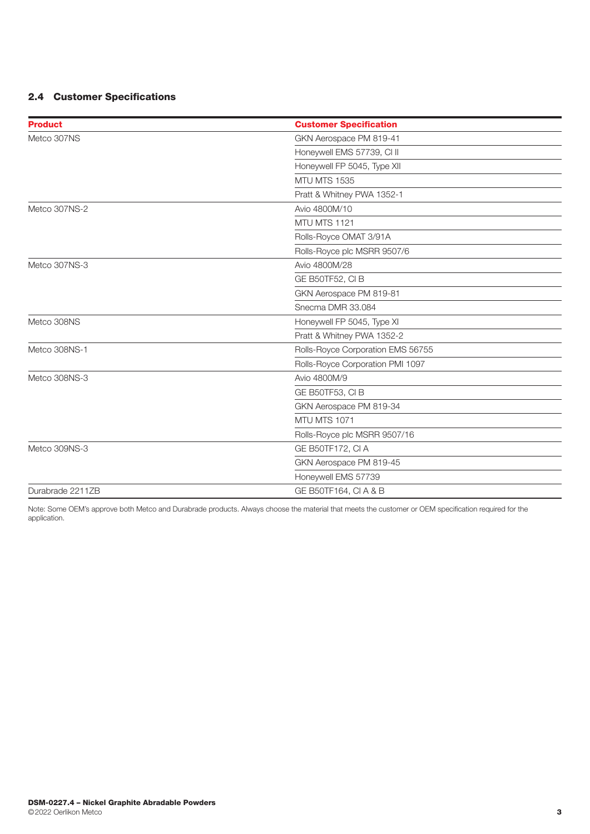# 2.4 Customer Specifications

| <b>Product</b>   | <b>Customer Specification</b>     |  |  |
|------------------|-----------------------------------|--|--|
| Metco 307NS      | GKN Aerospace PM 819-41           |  |  |
|                  | Honeywell EMS 57739, CI II        |  |  |
|                  | Honeywell FP 5045, Type XII       |  |  |
|                  | <b>MTU MTS 1535</b>               |  |  |
|                  | Pratt & Whitney PWA 1352-1        |  |  |
| Metco 307NS-2    | Avio 4800M/10                     |  |  |
|                  | MTU MTS 1121                      |  |  |
|                  | Rolls-Royce OMAT 3/91A            |  |  |
|                  | Rolls-Royce plc MSRR 9507/6       |  |  |
| Metco 307NS-3    | Avio 4800M/28                     |  |  |
|                  | GE B50TF52, CIB                   |  |  |
|                  | GKN Aerospace PM 819-81           |  |  |
|                  | Snecma DMR 33.084                 |  |  |
| Metco 308NS      | Honeywell FP 5045, Type XI        |  |  |
|                  | Pratt & Whitney PWA 1352-2        |  |  |
| Metco 308NS-1    | Rolls-Royce Corporation EMS 56755 |  |  |
|                  | Rolls-Royce Corporation PMI 1097  |  |  |
| Metco 308NS-3    | Avio 4800M/9                      |  |  |
|                  | GE B50TF53, CIB                   |  |  |
|                  | GKN Aerospace PM 819-34           |  |  |
|                  | MTU MTS 1071                      |  |  |
|                  | Rolls-Royce plc MSRR 9507/16      |  |  |
| Metco 309NS-3    | GE B50TF172, CI A                 |  |  |
|                  | GKN Aerospace PM 819-45           |  |  |
|                  | Honeywell EMS 57739               |  |  |
| Durabrade 2211ZB | GE B50TF164, CI A & B             |  |  |

Note: Some OEM's approve both Metco and Durabrade products. Always choose the material that meets the customer or OEM specification required for the application.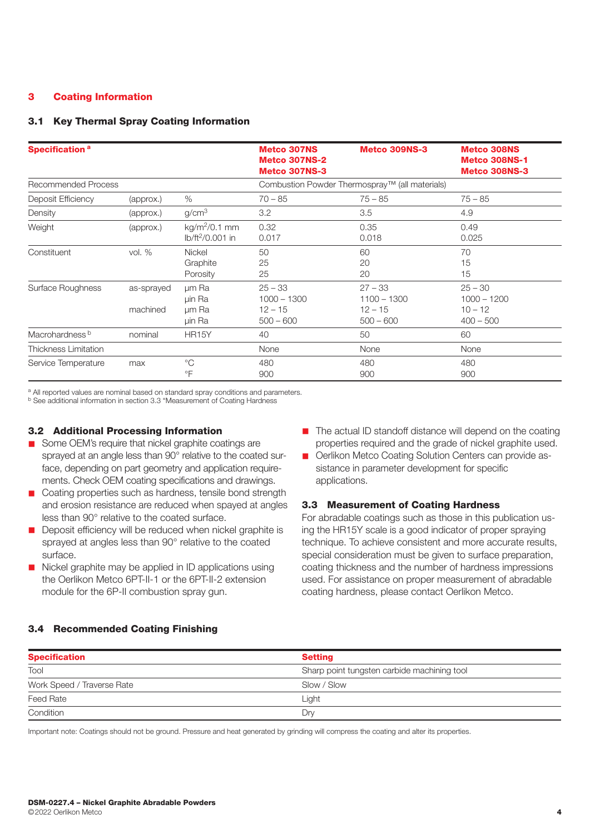# 3 Coating Information

## 3.1 Key Thermal Spray Coating Information

| Specification <sup>a</sup>  |                        |                                                | <b>Metco 307NS</b><br><b>Metco 307NS-2</b><br><b>Metco 307NS-3</b> | <b>Metco 309NS-3</b>                                   | <b>Metco 308NS</b><br><b>Metco 308NS-1</b><br><b>Metco 308NS-3</b> |
|-----------------------------|------------------------|------------------------------------------------|--------------------------------------------------------------------|--------------------------------------------------------|--------------------------------------------------------------------|
| <b>Recommended Process</b>  |                        |                                                |                                                                    | Combustion Powder Thermospray™ (all materials)         |                                                                    |
| Deposit Efficiency          | (approx.)              | $\%$                                           | $70 - 85$                                                          | $75 - 85$                                              | $75 - 85$                                                          |
| Density                     | (approx.)              | q/cm <sup>3</sup>                              | 3.2                                                                | 3.5                                                    | 4.9                                                                |
| Weight                      | (approx.)              | $kg/m2/0.1$ mm<br>lb/ft <sup>2</sup> /0.001 in | 0.32<br>0.017                                                      | 0.35<br>0.018                                          | 0.49<br>0.025                                                      |
| Constituent                 | vol. $%$               | <b>Nickel</b><br>Graphite<br>Porosity          | 50<br>25<br>25                                                     | 60<br>20<br>20                                         | 70<br>15<br>15                                                     |
| Surface Roughness           | as-sprayed<br>machined | um Ra<br>µin Ra<br>um Ra<br>uin Ra             | $25 - 33$<br>$1000 - 1300$<br>$12 - 15$<br>$500 - 600$             | $27 - 33$<br>$1100 - 1300$<br>$12 - 15$<br>$500 - 600$ | $25 - 30$<br>$1000 - 1200$<br>$10 - 12$<br>$400 - 500$             |
| Macrohardness <sup>b</sup>  | nominal                | <b>HR15Y</b>                                   | 40                                                                 | 50                                                     | 60                                                                 |
| <b>Thickness Limitation</b> |                        |                                                | None                                                               | None                                                   | None                                                               |
| Service Temperature         | max                    | $^{\circ}C$<br>$\circ$ F                       | 480<br>900                                                         | 480<br>900                                             | 480<br>900                                                         |

a All reported values are nominal based on standard spray conditions and parameters.

b See additional information in section 3.3 "Measurement of Coating Hardness

#### 3.2 Additional Processing Information

- Some OEM's require that nickel graphite coatings are sprayed at an angle less than 90° relative to the coated surface, depending on part geometry and application requirements. Check OEM coating specifications and drawings.
- Coating properties such as hardness, tensile bond strength and erosion resistance are reduced when spayed at angles less than 90° relative to the coated surface.
- Deposit efficiency will be reduced when nickel graphite is sprayed at angles less than 90° relative to the coated surface.
- $\blacksquare$  Nickel graphite may be applied in ID applications using the Oerlikon Metco 6PT-II-1 or the 6PT-II-2 extension module for the 6P-II combustion spray gun.
- $\blacksquare$  The actual ID standoff distance will depend on the coating properties required and the grade of nickel graphite used.
- n Oerlikon Metco Coating Solution Centers can provide assistance in parameter development for specific applications.

#### 3.3 Measurement of Coating Hardness

For abradable coatings such as those in this publication using the HR15Y scale is a good indicator of proper spraying technique. To achieve consistent and more accurate results, special consideration must be given to surface preparation, coating thickness and the number of hardness impressions used. For assistance on proper measurement of abradable coating hardness, please contact Oerlikon Metco.

## 3.4 Recommended Coating Finishing

| <b>Specification</b>       | <b>Setting</b>                              |  |  |
|----------------------------|---------------------------------------------|--|--|
| Tool                       | Sharp point tungsten carbide machining tool |  |  |
| Work Speed / Traverse Rate | Slow / Slow                                 |  |  |
| Feed Rate                  | Light                                       |  |  |
| Condition                  | Drγ                                         |  |  |

Important note: Coatings should not be ground. Pressure and heat generated by grinding will compress the coating and alter its properties.